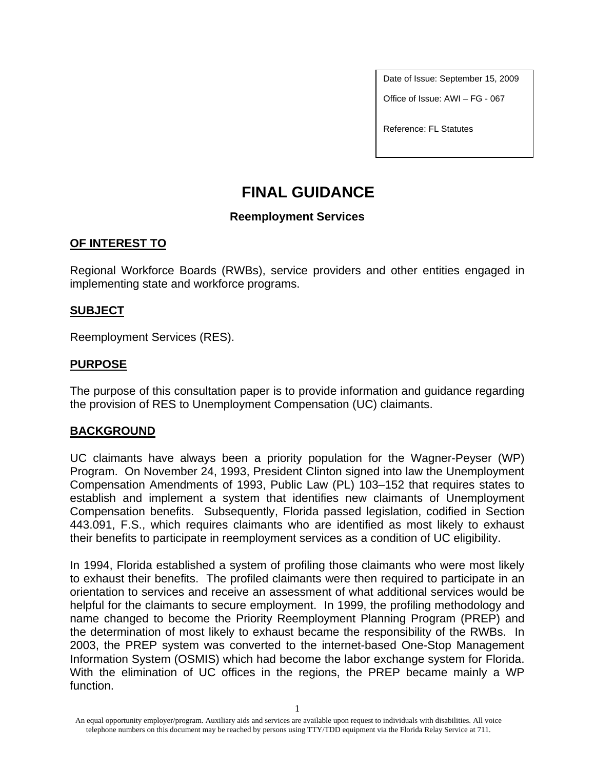Date of Issue: September 15, 2009

Office of Issue: AWI – FG - 067

Reference: FL Statutes

# **FINAL GUIDANCE**

### **Reemployment Services**

### **OF INTEREST TO**

Regional Workforce Boards (RWBs), service providers and other entities engaged in implementing state and workforce programs.

### **SUBJECT**

Reemployment Services (RES).

### **PURPOSE**

The purpose of this consultation paper is to provide information and guidance regarding the provision of RES to Unemployment Compensation (UC) claimants.

### **BACKGROUND**

UC claimants have always been a priority population for the Wagner-Peyser (WP) Program. On November 24, 1993, President Clinton signed into law the Unemployment Compensation Amendments of 1993, Public Law (PL) 103–152 that requires states to establish and implement a system that identifies new claimants of Unemployment Compensation benefits. Subsequently, Florida passed legislation, codified in Section 443.091, F.S., which requires claimants who are identified as most likely to exhaust their benefits to participate in reemployment services as a condition of UC eligibility.

In 1994, Florida established a system of profiling those claimants who were most likely to exhaust their benefits. The profiled claimants were then required to participate in an orientation to services and receive an assessment of what additional services would be helpful for the claimants to secure employment. In 1999, the profiling methodology and name changed to become the Priority Reemployment Planning Program (PREP) and the determination of most likely to exhaust became the responsibility of the RWBs. In 2003, the PREP system was converted to the internet-based One-Stop Management Information System (OSMIS) which had become the labor exchange system for Florida. With the elimination of UC offices in the regions, the PREP became mainly a WP function.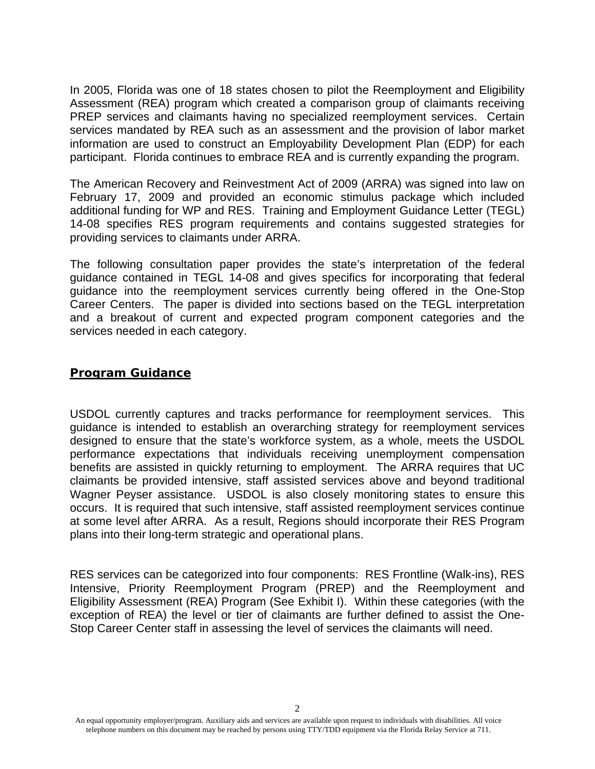In 2005, Florida was one of 18 states chosen to pilot the Reemployment and Eligibility Assessment (REA) program which created a comparison group of claimants receiving PREP services and claimants having no specialized reemployment services. Certain services mandated by REA such as an assessment and the provision of labor market information are used to construct an Employability Development Plan (EDP) for each participant. Florida continues to embrace REA and is currently expanding the program.

The American Recovery and Reinvestment Act of 2009 (ARRA) was signed into law on February 17, 2009 and provided an economic stimulus package which included additional funding for WP and RES. Training and Employment Guidance Letter (TEGL) 14-08 specifies RES program requirements and contains suggested strategies for providing services to claimants under ARRA.

The following consultation paper provides the state's interpretation of the federal guidance contained in TEGL 14-08 and gives specifics for incorporating that federal guidance into the reemployment services currently being offered in the One-Stop Career Centers. The paper is divided into sections based on the TEGL interpretation and a breakout of current and expected program component categories and the services needed in each category.

### **Program Guidance**

USDOL currently captures and tracks performance for reemployment services. This guidance is intended to establish an overarching strategy for reemployment services designed to ensure that the state's workforce system, as a whole, meets the USDOL performance expectations that individuals receiving unemployment compensation benefits are assisted in quickly returning to employment. The ARRA requires that UC claimants be provided intensive, staff assisted services above and beyond traditional Wagner Peyser assistance. USDOL is also closely monitoring states to ensure this occurs. It is required that such intensive, staff assisted reemployment services continue at some level after ARRA. As a result, Regions should incorporate their RES Program plans into their long-term strategic and operational plans.

RES services can be categorized into four components: RES Frontline (Walk-ins), RES Intensive, Priority Reemployment Program (PREP) and the Reemployment and Eligibility Assessment (REA) Program (See Exhibit I). Within these categories (with the exception of REA) the level or tier of claimants are further defined to assist the One-Stop Career Center staff in assessing the level of services the claimants will need.

 $\mathcal{L}$ 

An equal opportunity employer/program. Auxiliary aids and services are available upon request to individuals with disabilities. All voice telephone numbers on this document may be reached by persons using TTY/TDD equipment via the Florida Relay Service at 711.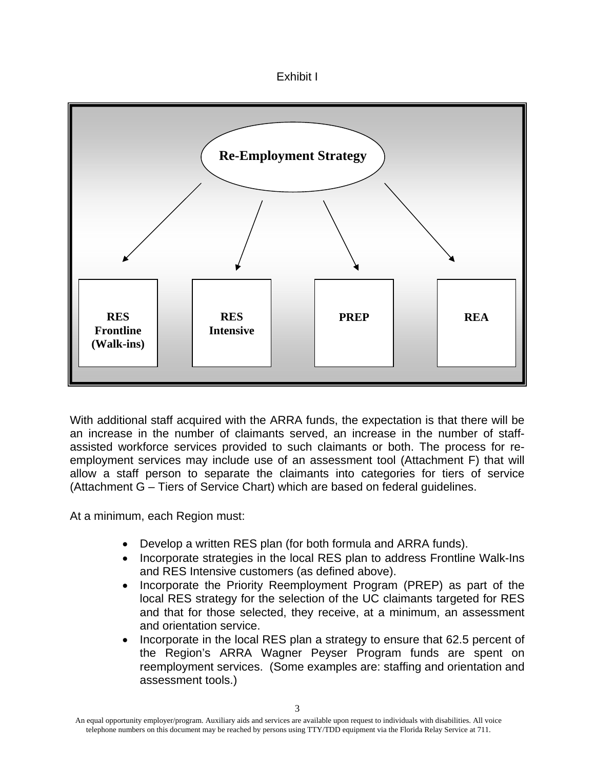



With additional staff acquired with the ARRA funds, the expectation is that there will be an increase in the number of claimants served, an increase in the number of staffassisted workforce services provided to such claimants or both. The process for reemployment services may include use of an assessment tool (Attachment F) that will allow a staff person to separate the claimants into categories for tiers of service (Attachment G – Tiers of Service Chart) which are based on federal guidelines.

At a minimum, each Region must:

- Develop a written RES plan (for both formula and ARRA funds).
- Incorporate strategies in the local RES plan to address Frontline Walk-Ins and RES Intensive customers (as defined above).
- Incorporate the Priority Reemployment Program (PREP) as part of the local RES strategy for the selection of the UC claimants targeted for RES and that for those selected, they receive, at a minimum, an assessment and orientation service.
- Incorporate in the local RES plan a strategy to ensure that 62.5 percent of the Region's ARRA Wagner Peyser Program funds are spent on reemployment services. (Some examples are: staffing and orientation and assessment tools.)

An equal opportunity employer/program. Auxiliary aids and services are available upon request to individuals with disabilities. All voice telephone numbers on this document may be reached by persons using TTY/TDD equipment via the Florida Relay Service at 711.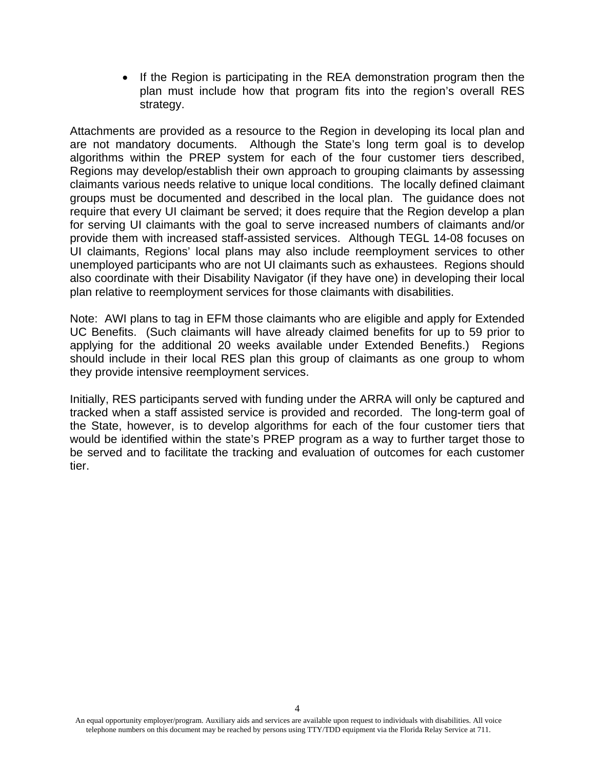If the Region is participating in the REA demonstration program then the plan must include how that program fits into the region's overall RES strategy.

Attachments are provided as a resource to the Region in developing its local plan and are not mandatory documents. Although the State's long term goal is to develop algorithms within the PREP system for each of the four customer tiers described, Regions may develop/establish their own approach to grouping claimants by assessing claimants various needs relative to unique local conditions. The locally defined claimant groups must be documented and described in the local plan. The guidance does not require that every UI claimant be served; it does require that the Region develop a plan for serving UI claimants with the goal to serve increased numbers of claimants and/or provide them with increased staff-assisted services. Although TEGL 14-08 focuses on UI claimants, Regions' local plans may also include reemployment services to other unemployed participants who are not UI claimants such as exhaustees. Regions should also coordinate with their Disability Navigator (if they have one) in developing their local plan relative to reemployment services for those claimants with disabilities.

Note: AWI plans to tag in EFM those claimants who are eligible and apply for Extended UC Benefits. (Such claimants will have already claimed benefits for up to 59 prior to applying for the additional 20 weeks available under Extended Benefits.) Regions should include in their local RES plan this group of claimants as one group to whom they provide intensive reemployment services.

Initially, RES participants served with funding under the ARRA will only be captured and tracked when a staff assisted service is provided and recorded. The long-term goal of the State, however, is to develop algorithms for each of the four customer tiers that would be identified within the state's PREP program as a way to further target those to be served and to facilitate the tracking and evaluation of outcomes for each customer tier.

An equal opportunity employer/program. Auxiliary aids and services are available upon request to individuals with disabilities. All voice telephone numbers on this document may be reached by persons using TTY/TDD equipment via the Florida Relay Service at 711.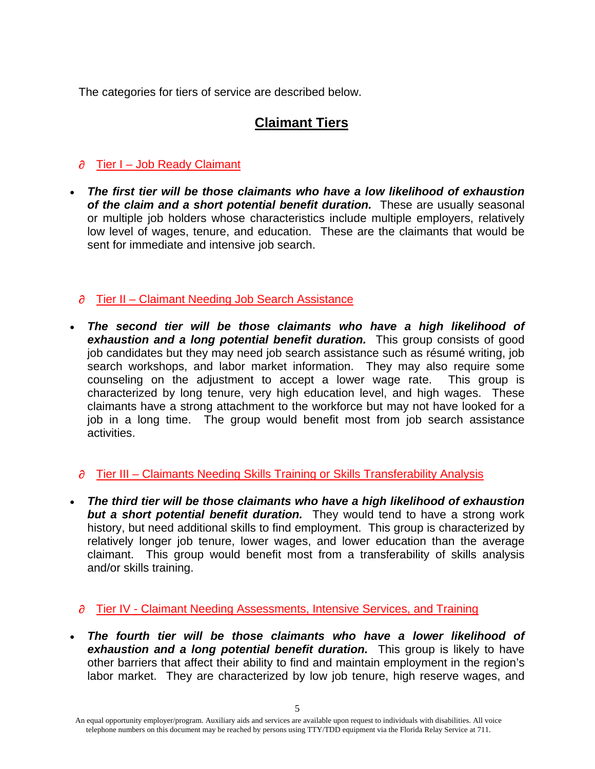The categories for tiers of service are described below.

# **Claimant Tiers**

# $\partial$  Tier I – Job Ready Claimant

 *The first tier will be those claimants who have a low likelihood of exhaustion of the claim and a short potential benefit duration.* These are usually seasonal or multiple job holders whose characteristics include multiple employers, relatively low level of wages, tenure, and education. These are the claimants that would be sent for immediate and intensive job search.

# $\partial$  Tier II – Claimant Needing Job Search Assistance

 *The second tier will be those claimants who have a high likelihood of*  **exhaustion and a long potential benefit duration.** This group consists of good job candidates but they may need job search assistance such as résumé writing, job search workshops, and labor market information. They may also require some counseling on the adjustment to accept a lower wage rate. This group is characterized by long tenure, very high education level, and high wages. These claimants have a strong attachment to the workforce but may not have looked for a job in a long time. The group would benefit most from job search assistance activities.

# $\partial$  Tier III – Claimants Needing Skills Training or Skills Transferability Analysis

 *The third tier will be those claimants who have a high likelihood of exhaustion but a short potential benefit duration.* They would tend to have a strong work history, but need additional skills to find employment. This group is characterized by relatively longer job tenure, lower wages, and lower education than the average claimant. This group would benefit most from a transferability of skills analysis and/or skills training.

### $\partial$  Tier IV - Claimant Needing Assessments, Intensive Services, and Training

 *The fourth tier will be those claimants who have a lower likelihood of exhaustion and a long potential benefit duration.* This group is likely to have other barriers that affect their ability to find and maintain employment in the region's labor market. They are characterized by low job tenure, high reserve wages, and

An equal opportunity employer/program. Auxiliary aids and services are available upon request to individuals with disabilities. All voice telephone numbers on this document may be reached by persons using TTY/TDD equipment via the Florida Relay Service at 711.